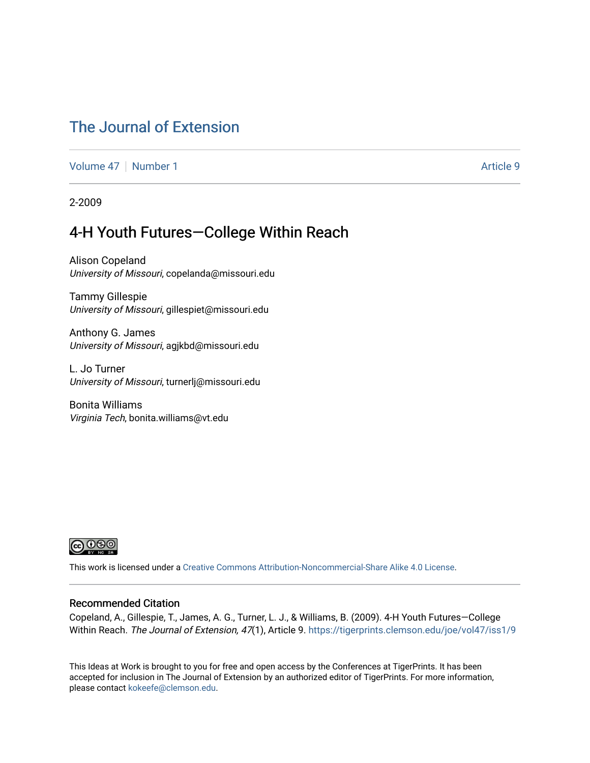### [The Journal of Extension](https://tigerprints.clemson.edu/joe)

[Volume 47](https://tigerprints.clemson.edu/joe/vol47) | [Number 1](https://tigerprints.clemson.edu/joe/vol47/iss1) Article 9

2-2009

### 4-H Youth Futures—College Within Reach

Alison Copeland University of Missouri, copelanda@missouri.edu

Tammy Gillespie University of Missouri, gillespiet@missouri.edu

Anthony G. James University of Missouri, agjkbd@missouri.edu

L. Jo Turner University of Missouri, turnerlj@missouri.edu

Bonita Williams Virginia Tech, bonita.williams@vt.edu



This work is licensed under a [Creative Commons Attribution-Noncommercial-Share Alike 4.0 License.](https://creativecommons.org/licenses/by-nc-sa/4.0/)

#### Recommended Citation

Copeland, A., Gillespie, T., James, A. G., Turner, L. J., & Williams, B. (2009). 4-H Youth Futures—College Within Reach. The Journal of Extension, 47(1), Article 9. https://tigerprints.clemson.edu/joe/vol47/iss1/9

This Ideas at Work is brought to you for free and open access by the Conferences at TigerPrints. It has been accepted for inclusion in The Journal of Extension by an authorized editor of TigerPrints. For more information, please contact [kokeefe@clemson.edu](mailto:kokeefe@clemson.edu).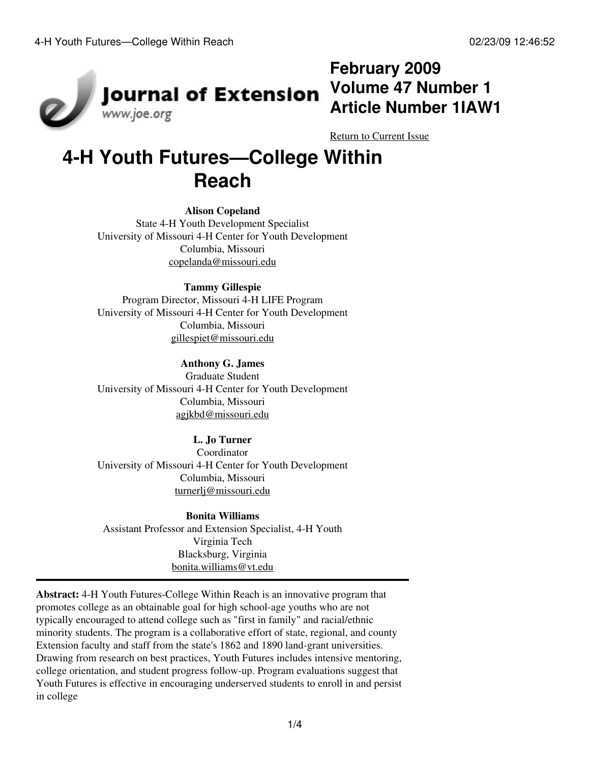

## **February 2009 Volume 47 Number 1 Article Number 1IAW1**

[Return to Current Issue](http://www.joe.org:80/joe/2009february/)

# **4-H Youth Futures—College Within Reach**

#### **Alison Copeland**

State 4-H Youth Development Specialist University of Missouri 4-H Center for Youth Development Columbia, Missouri [copelanda@missouri.edu](mailto:copelanda@missouri.edu)

#### **Tammy Gillespie**

Program Director, Missouri 4-H LIFE Program University of Missouri 4-H Center for Youth Development Columbia, Missouri [gillespiet@missouri.edu](mailto:gillespiet@missouri.edu)

**Anthony G. James** Graduate Student University of Missouri 4-H Center for Youth Development Columbia, Missouri [agjkbd@missouri.edu](mailto:agjkbd@missouri.edu)

#### **L. Jo Turner**

Coordinator University of Missouri 4-H Center for Youth Development Columbia, Missouri [turnerlj@missouri.edu](mailto:turnerlj@missouri.edu)

**Bonita Williams** Assistant Professor and Extension Specialist, 4-H Youth Virginia Tech Blacksburg, Virginia [bonita.williams@vt.edu](mailto:bonita.williams@vt.edu)

**Abstract:** 4-H Youth Futures-College Within Reach is an innovative program that promotes college as an obtainable goal for high school-age youths who are not typically encouraged to attend college such as "first in family" and racial/ethnic minority students. The program is a collaborative effort of state, regional, and county Extension faculty and staff from the state's 1862 and 1890 land-grant universities. Drawing from research on best practices, Youth Futures includes intensive mentoring, college orientation, and student progress follow-up. Program evaluations suggest that Youth Futures is effective in encouraging underserved students to enroll in and persist in college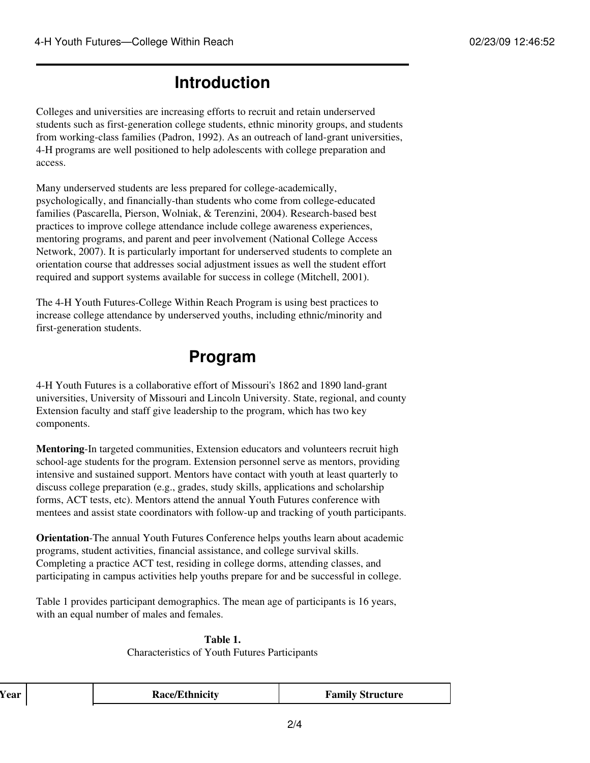## **Introduction**

Colleges and universities are increasing efforts to recruit and retain underserved students such as first-generation college students, ethnic minority groups, and students from working-class families (Padron, 1992). As an outreach of land-grant universities, 4-H programs are well positioned to help adolescents with college preparation and access.

Many underserved students are less prepared for college-academically, psychologically, and financially-than students who come from college-educated families (Pascarella, Pierson, Wolniak, & Terenzini, 2004). Research-based best practices to improve college attendance include college awareness experiences, mentoring programs, and parent and peer involvement (National College Access Network, 2007). It is particularly important for underserved students to complete an orientation course that addresses social adjustment issues as well the student effort required and support systems available for success in college (Mitchell, 2001).

The 4-H Youth Futures-College Within Reach Program is using best practices to increase college attendance by underserved youths, including ethnic/minority and first-generation students.

### **Program**

4-H Youth Futures is a collaborative effort of Missouri's 1862 and 1890 land-grant universities, University of Missouri and Lincoln University. State, regional, and county Extension faculty and staff give leadership to the program, which has two key components.

**Mentoring**-In targeted communities, Extension educators and volunteers recruit high school-age students for the program. Extension personnel serve as mentors, providing intensive and sustained support. Mentors have contact with youth at least quarterly to discuss college preparation (e.g., grades, study skills, applications and scholarship forms, ACT tests, etc). Mentors attend the annual Youth Futures conference with mentees and assist state coordinators with follow-up and tracking of youth participants.

**Orientation**-The annual Youth Futures Conference helps youths learn about academic programs, student activities, financial assistance, and college survival skills. Completing a practice ACT test, residing in college dorms, attending classes, and participating in campus activities help youths prepare for and be successful in college.

Table 1 provides participant demographics. The mean age of participants is 16 years, with an equal number of males and females.

**Table 1.** Characteristics of Youth Futures Participants

| r ear | <b>Race/Ethnicity</b> | <b>Family Structure</b> |
|-------|-----------------------|-------------------------|
|       |                       |                         |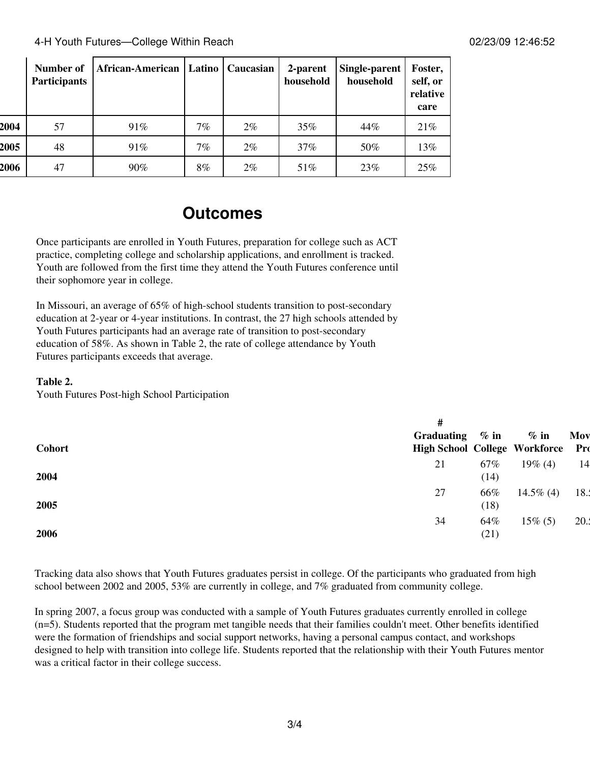4-H Youth Futures—College Within Reach 02/23/09 12:46:52

|      | Number of<br><b>Participants</b> | African-American |    | Latino   Caucasian | 2-parent<br>household | Single-parent<br>household | Foster,<br>self, or<br>relative<br>care |
|------|----------------------------------|------------------|----|--------------------|-----------------------|----------------------------|-----------------------------------------|
| 2004 | 57                               | 91%              | 7% | $2\%$              | 35%                   | 44%                        | 21%                                     |
| 2005 | 48                               | 91%              | 7% | $2\%$              | 37%                   | 50%                        | 13%                                     |
| 2006 | 47                               | 90%              | 8% | $2\%$              | 51%                   | 23\%                       | 25%                                     |

### **Outcomes**

Once participants are enrolled in Youth Futures, preparation for college such as ACT practice, completing college and scholarship applications, and enrollment is tracked. Youth are followed from the first time they attend the Youth Futures conference until their sophomore year in college.

In Missouri, an average of 65% of high-school students transition to post-secondary education at 2-year or 4-year institutions. In contrast, the 27 high schools attended by Youth Futures participants had an average rate of transition to post-secondary education of 58%. As shown in Table 2, the rate of college attendance by Youth Futures participants exceeds that average.

#### **Table 2.**

Youth Futures Post-high School Participation

| <b>Cohort</b> | #<br>Graduating<br><b>High School College Workforce</b> | $\%$ in     | $\%$ in      | Mov<br>Pro |
|---------------|---------------------------------------------------------|-------------|--------------|------------|
| 2004          | 21                                                      | 67%<br>(14) | $19\%$ (4)   | 14         |
| 2005          | 27                                                      | 66%<br>(18) | $14.5\%$ (4) | 18.        |
| 2006          | 34                                                      | 64%<br>(21) | $15\%$ (5)   | 20.3       |

Tracking data also shows that Youth Futures graduates persist in college. Of the participants who graduated from high school between 2002 and 2005, 53% are currently in college, and 7% graduated from community college.

In spring 2007, a focus group was conducted with a sample of Youth Futures graduates currently enrolled in college (n=5). Students reported that the program met tangible needs that their families couldn't meet. Other benefits identified were the formation of friendships and social support networks, having a personal campus contact, and workshops designed to help with transition into college life. Students reported that the relationship with their Youth Futures mentor was a critical factor in their college success.